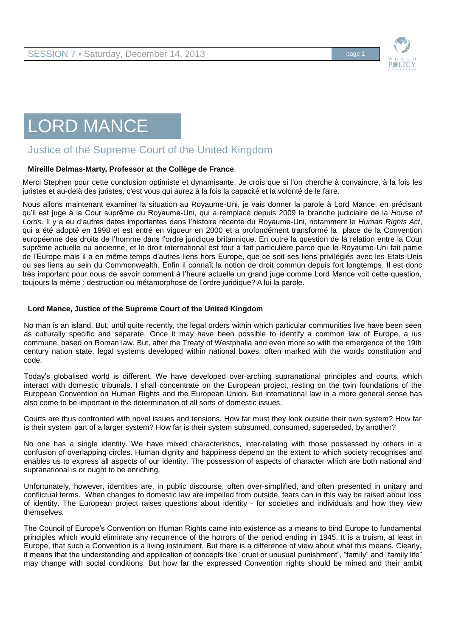

## LORD MANCE

## Justice of the Supreme Court of the United Kingdom

## **Mireille Delmas-Marty, Professor at the Collège de France**

Merci Stephen pour cette conclusion optimiste et dynamisante. Je crois que si l'on cherche à convaincre, à la fois les juristes et au-delà des juristes, c'est vous qui aurez à la fois la capacité et la volonté de le faire.

Nous allons maintenant examiner la situation au Royaume-Uni, je vais donner la parole à Lord Mance, en précisant qu'il est juge à la Cour suprême du Royaume-Uni, qui a remplacé depuis 2009 la branche judiciaire de la *House of Lords*. Il y a eu d'autres dates importantes dans l'histoire récente du Royaume-Uni, notamment le *Human Rights Act*, qui a été adopté en 1998 et est entré en vigueur en 2000 et a profondément transformé la place de la Convention européenne des droits de l'homme dans l'ordre juridique britannique. En outre la question de la relation entre la Cour suprême actuelle ou ancienne, et le droit international est tout à fait particulière parce que le Royaume-Uni fait partie de l'Europe mais il a en même temps d'autres liens hors Europe, que ce soit ses liens privilégiés avec les Etats-Unis ou ses liens au sein du Commonwealth. Enfin il connaît la notion de droit commun depuis fort longtemps. Il est donc très important pour nous de savoir comment à l'heure actuelle un grand juge comme Lord Mance voit cette question, toujours la même : destruction ou métamorphose de l'ordre juridique? A lui la parole.

## **Lord Mance, Justice of the Supreme Court of the United Kingdom**

No man is an island. But, until quite recently, the legal orders within which particular communities live have been seen as culturally specific and separate. Once it may have been possible to identify a common law of Europe, a ius commune, based on Roman law. But, after the Treaty of Westphalia and even more so with the emergence of the 19th century nation state, legal systems developed within national boxes, often marked with the words constitution and code.

Today's globalised world is different. We have developed over-arching supranational principles and courts, which interact with domestic tribunals. I shall concentrate on the European project, resting on the twin foundations of the European Convention on Human Rights and the European Union. But international law in a more general sense has also come to be important in the determination of all sorts of domestic issues.

Courts are thus confronted with novel issues and tensions. How far must they look outside their own system? How far is their system part of a larger system? How far is their system subsumed, consumed, superseded, by another?

No one has a single identity. We have mixed characteristics, inter-relating with those possessed by others in a confusion of overlapping circles. Human dignity and happiness depend on the extent to which society recognises and enables us to express all aspects of our identity. The possession of aspects of character which are both national and supranational is or ought to be enriching.

Unfortunately, however, identities are, in public discourse, often over-simplified, and often presented in unitary and conflictual terms. When changes to domestic law are impelled from outside, fears can in this way be raised about loss of identity. The European project raises questions about identity - for societies and individuals and how they view themselves.

The Council of Europe's Convention on Human Rights came into existence as a means to bind Europe to fundamental principles which would eliminate any recurrence of the horrors of the period ending in 1945. It is a truism, at least in Europe, that such a Convention is a living instrument. But there is a difference of view about what this means. Clearly, it means that the understanding and application of concepts like "cruel or unusual punishment", "family" and "family life" may change with social conditions. But how far the expressed Convention rights should be mined and their ambit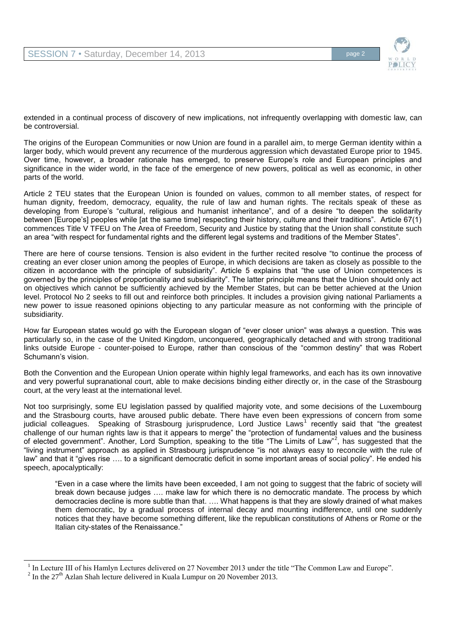

extended in a continual process of discovery of new implications, not infrequently overlapping with domestic law, can be controversial.

The origins of the European Communities or now Union are found in a parallel aim, to merge German identity within a larger body, which would prevent any recurrence of the murderous aggression which devastated Europe prior to 1945. Over time, however, a broader rationale has emerged, to preserve Europe's role and European principles and significance in the wider world, in the face of the emergence of new powers, political as well as economic, in other parts of the world.

Article 2 TEU states that the European Union is founded on values, common to all member states, of respect for human dignity, freedom, democracy, equality, the rule of law and human rights. The recitals speak of these as developing from Europe's "cultural, religious and humanist inheritance", and of a desire "to deepen the solidarity between [Europe's] peoples while [at the same time] respecting their history, culture and their traditions". Article 67(1) commences Title V TFEU on The Area of Freedom, Security and Justice by stating that the Union shall constitute such an area "with respect for fundamental rights and the different legal systems and traditions of the Member States".

There are here of course tensions. Tension is also evident in the further recited resolve "to continue the process of creating an ever closer union among the peoples of Europe, in which decisions are taken as closely as possible to the citizen in accordance with the principle of subsidiarity". Article 5 explains that "the use of Union competences is governed by the principles of proportionality and subsidiarity". The latter principle means that the Union should only act on objectives which cannot be sufficiently achieved by the Member States, but can be better achieved at the Union level. Protocol No 2 seeks to fill out and reinforce both principles. It includes a provision giving national Parliaments a new power to issue reasoned opinions objecting to any particular measure as not conforming with the principle of subsidiarity.

How far European states would go with the European slogan of "ever closer union" was always a question. This was particularly so, in the case of the United Kingdom, unconquered, geographically detached and with strong traditional links outside Europe - counter-poised to Europe, rather than conscious of the "common destiny" that was Robert Schumann's vision.

Both the Convention and the European Union operate within highly legal frameworks, and each has its own innovative and very powerful supranational court, able to make decisions binding either directly or, in the case of the Strasbourg court, at the very least at the international level.

Not too surprisingly, some EU legislation passed by qualified majority vote, and some decisions of the Luxembourg and the Strasbourg courts, have aroused public debate. There have even been expressions of concern from some judicial colleagues. Speaking of Strasbourg jurisprudence, Lord Justice Laws<sup>1</sup> recently said that "the greatest challenge of our human rights law is that it appears to merge" the "protection of fundamental values and the business of elected government". Another, Lord Sumption, speaking to the title "The Limits of Law"<sup>2</sup>, has suggested that the "living instrument" approach as applied in Strasbourg jurisprudence "is not always easy to reconcile with the rule of law" and that it "gives rise …. to a significant democratic deficit in some important areas of social policy". He ended his speech, apocalyptically:

"Even in a case where the limits have been exceeded, I am not going to suggest that the fabric of society will break down because judges …. make law for which there is no democratic mandate. The process by which democracies decline is more subtle than that. …. What happens is that they are slowly drained of what makes them democratic, by a gradual process of internal decay and mounting indifference, until one suddenly notices that they have become something different, like the republican constitutions of Athens or Rome or the Italian city-states of the Renaissance."

l

<sup>1</sup> In Lecture III of his Hamlyn Lectures delivered on 27 November 2013 under the title "The Common Law and Europe".

 $2^2$  In the 27<sup>th</sup> Azlan Shah lecture delivered in Kuala Lumpur on 20 November 2013.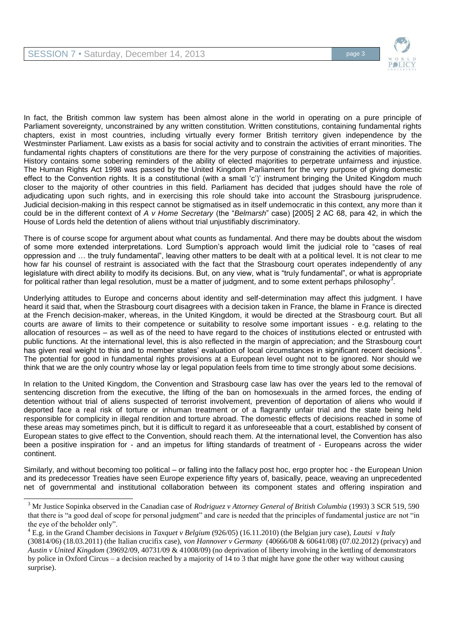$\overline{a}$ 



In fact, the British common law system has been almost alone in the world in operating on a pure principle of Parliament sovereignty, unconstrained by any written constitution. Written constitutions, containing fundamental rights chapters, exist in most countries, including virtually every former British territory given independence by the Westminster Parliament. Law exists as a basis for social activity and to constrain the activities of errant minorities. The fundamental rights chapters of constitutions are there for the very purpose of constraining the activities of majorities. History contains some sobering reminders of the ability of elected majorities to perpetrate unfairness and injustice. The Human Rights Act 1998 was passed by the United Kingdom Parliament for the very purpose of giving domestic effect to the Convention rights. It is a constitutional (with a small 'c')' instrument bringing the United Kingdom much closer to the majority of other countries in this field. Parliament has decided that judges should have the role of adjudicating upon such rights, and in exercising this role should take into account the Strasbourg jurisprudence. Judicial decision-making in this respect cannot be stigmatised as in itself undemocratic in this context, any more than it could be in the different context of *A v Home Secretary* (the "*Belmarsh*" case) [2005] 2 AC 68, para 42, in which the House of Lords held the detention of aliens without trial unjustifiably discriminatory.

There is of course scope for argument about what counts as fundamental. And there may be doubts about the wisdom of some more extended interpretations. Lord Sumption's approach would limit the judicial role to "cases of real oppression and … the truly fundamental", leaving other matters to be dealt with at a political level. It is not clear to me how far his counsel of restraint is associated with the fact that the Strasbourg court operates independently of any legislature with direct ability to modify its decisions. But, on any view, what is "truly fundamental", or what is appropriate for political rather than legal resolution, must be a matter of judgment, and to some extent perhaps philosophy<sup>3</sup>.

Underlying attitudes to Europe and concerns about identity and self-determination may affect this judgment. I have heard it said that, when the Strasbourg court disagrees with a decision taken in France, the blame in France is directed at the French decision-maker, whereas, in the United Kingdom, it would be directed at the Strasbourg court. But all courts are aware of limits to their competence or suitability to resolve some important issues - e.g. relating to the allocation of resources – as well as of the need to have regard to the choices of institutions elected or entrusted with public functions. At the international level, this is also reflected in the margin of appreciation; and the Strasbourg court has given real weight to this and to member states' evaluation of local circumstances in significant recent decisions<sup>4</sup>. The potential for good in fundamental rights provisions at a European level ought not to be ignored. Nor should we think that we are the only country whose lay or legal population feels from time to time strongly about some decisions.

In relation to the United Kingdom, the Convention and Strasbourg case law has over the years led to the removal of sentencing discretion from the executive, the lifting of the ban on homosexuals in the armed forces, the ending of detention without trial of aliens suspected of terrorist involvement, prevention of deportation of aliens who would if deported face a real risk of torture or inhuman treatment or of a flagrantly unfair trial and the state being held responsible for complicity in illegal rendition and torture abroad. The domestic effects of decisions reached in some of these areas may sometimes pinch, but it is difficult to regard it as unforeseeable that a court, established by consent of European states to give effect to the Convention, should reach them. At the international level, the Convention has also been a positive inspiration for - and an impetus for lifting standards of treatment of - Europeans across the wider continent.

Similarly, and without becoming too political – or falling into the fallacy post hoc, ergo propter hoc - the European Union and its predecessor Treaties have seen Europe experience fifty years of, basically, peace, weaving an unprecedented net of governmental and institutional collaboration between its component states and offering inspiration and

<sup>&</sup>lt;sup>3</sup> Mr Justice Sopinka observed in the Canadian case of *Rodriguez v Attorney General of British Columbia* (1993) 3 SCR 519, 590 that there is "a good deal of scope for personal judgment" and care is needed that the principles of fundamental justice are not "in the eye of the beholder only".

<sup>4</sup> E.g. in the Grand Chamber decisions in *Taxquet v Belgium* (926/05) (16.11.2010) (the Belgian jury case), *Lautsi v Italy*  (30814/06) (18.03.2011) (the Italian crucifix case), *von Hannover v Germany* (40666/08 & 60641/08) (07.02.2012) (privacy) and *Austin v United Kingdom* (39692/09, 40731/09 & 41008/09) (no deprivation of liberty involving in the kettling of demonstrators by police in Oxford Circus – a decision reached by a majority of 14 to 3 that might have gone the other way without causing surprise).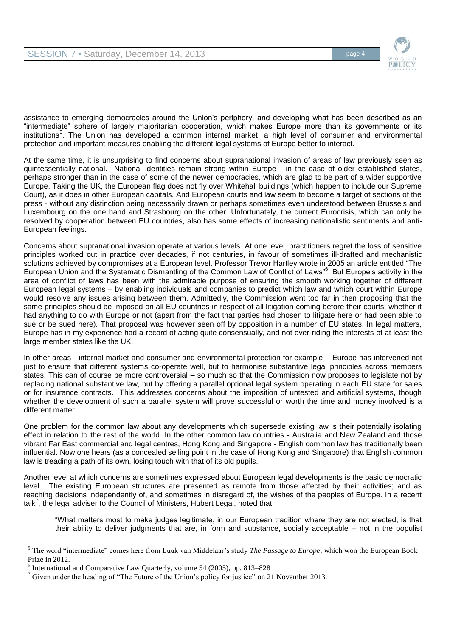

assistance to emerging democracies around the Union's periphery, and developing what has been described as an "intermediate" sphere of largely majoritarian cooperation, which makes Europe more than its governments or its institutions<sup>5</sup>. The Union has developed a common internal market, a high level of consumer and environmental protection and important measures enabling the different legal systems of Europe better to interact.

At the same time, it is unsurprising to find concerns about supranational invasion of areas of law previously seen as quintessentially national. National identities remain strong within Europe - in the case of older established states, perhaps stronger than in the case of some of the newer democracies, which are glad to be part of a wider supportive Europe. Taking the UK, the European flag does not fly over Whitehall buildings (which happen to include our Supreme Court), as it does in other European capitals. And European courts and law seem to become a target of sections of the press - without any distinction being necessarily drawn or perhaps sometimes even understood between Brussels and Luxembourg on the one hand and Strasbourg on the other. Unfortunately, the current Eurocrisis, which can only be resolved by cooperation between EU countries, also has some effects of increasing nationalistic sentiments and anti-European feelings.

Concerns about supranational invasion operate at various levels. At one level, practitioners regret the loss of sensitive principles worked out in practice over decades, if not centuries, in favour of sometimes ill-drafted and mechanistic solutions achieved by compromises at a European level. Professor Trevor Hartley wrote in 2005 an article entitled "The European Union and the Systematic Dismantling of the Common Law of Conflict of Laws"<sup>6</sup> . But Europe's activity in the area of conflict of laws has been with the admirable purpose of ensuring the smooth working together of different European legal systems – by enabling individuals and companies to predict which law and which court within Europe would resolve any issues arising between them. Admittedly, the Commission went too far in then proposing that the same principles should be imposed on all EU countries in respect of all litigation coming before their courts, whether it had anything to do with Europe or not (apart from the fact that parties had chosen to litigate here or had been able to sue or be sued here). That proposal was however seen off by opposition in a number of EU states. In legal matters, Europe has in my experience had a record of acting quite consensually, and not over-riding the interests of at least the large member states like the UK.

In other areas - internal market and consumer and environmental protection for example – Europe has intervened not just to ensure that different systems co-operate well, but to harmonise substantive legal principles across members states. This can of course be more controversial – so much so that the Commission now proposes to legislate not by replacing national substantive law, but by offering a parallel optional legal system operating in each EU state for sales or for insurance contracts. This addresses concerns about the imposition of untested and artificial systems, though whether the development of such a parallel system will prove successful or worth the time and money involved is a different matter.

One problem for the common law about any developments which supersede existing law is their potentially isolating effect in relation to the rest of the world. In the other common law countries - Australia and New Zealand and those vibrant Far East commercial and legal centres, Hong Kong and Singapore - English common law has traditionally been influential. Now one hears (as a concealed selling point in the case of Hong Kong and Singapore) that English common law is treading a path of its own, losing touch with that of its old pupils.

Another level at which concerns are sometimes expressed about European legal developments is the basic democratic level. The existing European structures are presented as remote from those affected by their activities; and as reaching decisions independently of, and sometimes in disregard of, the wishes of the peoples of Europe. In a recent  $\text{talk}^7$ , the legal adviser to the Council of Ministers, Hubert Legal, noted that

"What matters most to make judges legitimate, in our European tradition where they are not elected, is that their ability to deliver judgments that are, in form and substance, socially acceptable – not in the populist

 $\overline{a}$ 

<sup>5</sup> The word "intermediate" comes here from Luuk van Middelaar's study *The Passage to Europe*, which won the European Book Prize in 2012.

<sup>&</sup>lt;sup>6</sup> International and Comparative Law Quarterly, volume 54 (2005), pp. 813–828

 $<sup>7</sup>$  Given under the heading of "The Future of the Union's policy for justice" on 21 November 2013.</sup>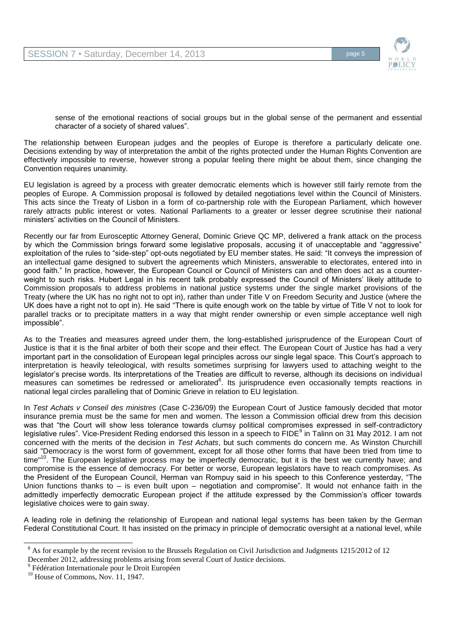

sense of the emotional reactions of social groups but in the global sense of the permanent and essential character of a society of shared values".

The relationship between European judges and the peoples of Europe is therefore a particularly delicate one. Decisions extending by way of interpretation the ambit of the rights protected under the Human Rights Convention are effectively impossible to reverse, however strong a popular feeling there might be about them, since changing the Convention requires unanimity.

EU legislation is agreed by a process with greater democratic elements which is however still fairly remote from the peoples of Europe. A Commission proposal is followed by detailed negotiations level within the Council of Ministers. This acts since the Treaty of Lisbon in a form of co-partnership role with the European Parliament, which however rarely attracts public interest or votes. National Parliaments to a greater or lesser degree scrutinise their national ministers' activities on the Council of Ministers.

Recently our far from Eurosceptic Attorney General, Dominic Grieve QC MP, delivered a frank attack on the process by which the Commission brings forward some legislative proposals, accusing it of unacceptable and "aggressive" exploitation of the rules to "side-step" opt-outs negotiated by EU member states. He said: "It conveys the impression of an intellectual game designed to subvert the agreements which Ministers, answerable to electorates, entered into in good faith." In practice, however, the European Council or Council of Ministers can and often does act as a counterweight to such risks. Hubert Legal in his recent talk probably expressed the Council of Ministers' likely attitude to Commission proposals to address problems in national justice systems under the single market provisions of the Treaty (where the UK has no right not to opt in), rather than under Title V on Freedom Security and Justice (where the UK does have a right not to opt in). He said "There is quite enough work on the table by virtue of Title V not to look for parallel tracks or to precipitate matters in a way that might render ownership or even simple acceptance well nigh impossible".

As to the Treaties and measures agreed under them, the long-established jurisprudence of the European Court of Justice is that it is the final arbiter of both their scope and their effect. The European Court of Justice has had a very important part in the consolidation of European legal principles across our single legal space. This Court's approach to interpretation is heavily teleological, with results sometimes surprising for lawyers used to attaching weight to the legislator's precise words. Its interpretations of the Treaties are difficult to reverse, although its decisions on individual measures can sometimes be redressed or ameliorated<sup>8</sup>. Its jurisprudence even occasionally tempts reactions in national legal circles paralleling that of Dominic Grieve in relation to EU legislation.

In *Test Achats v Conseil des ministres* (Case C-236/09) the European Court of Justice famously decided that motor insurance premia must be the same for men and women. The lesson a Commission official drew from this decision was that "the Court will show less tolerance towards clumsy political compromises expressed in self-contradictory legislative rules". Vice-President Reding endorsed this lesson in a speech to FIDE<sup>9</sup> in Talinn on 31 May 2012. I am not concerned with the merits of the decision in *Test Achats*, but such comments do concern me. As Winston Churchill said "Democracy is the worst form of government, except for all those other forms that have been tried from time to time"<sup>10</sup>. The European legislative process may be imperfectly democratic, but it is the best we currently have; and compromise is the essence of democracy. For better or worse, European legislators have to reach compromises. As the President of the European Council, Herman van Rompuy said in his speech to this Conference yesterday, "The Union functions thanks to – is even built upon – negotiation and compromise". It would not enhance faith in the admittedly imperfectly democratic European project if the attitude expressed by the Commission's officer towards legislative choices were to gain sway.

A leading role in defining the relationship of European and national legal systems has been taken by the German Federal Constitutional Court. It has insisted on the primacy in principle of democratic oversight at a national level, while

 $\overline{a}$ 

<sup>&</sup>lt;sup>8</sup> As for example by the recent revision to the Brussels Regulation on Civil Jurisdiction and Judgments 1215/2012 of 12 December 2012, addressing problems arising from several Court of Justice decisions.

<sup>&</sup>lt;sup>9</sup> Fédération Internationale pour le Droit Européen

 $10$  House of Commons, Nov. 11, 1947.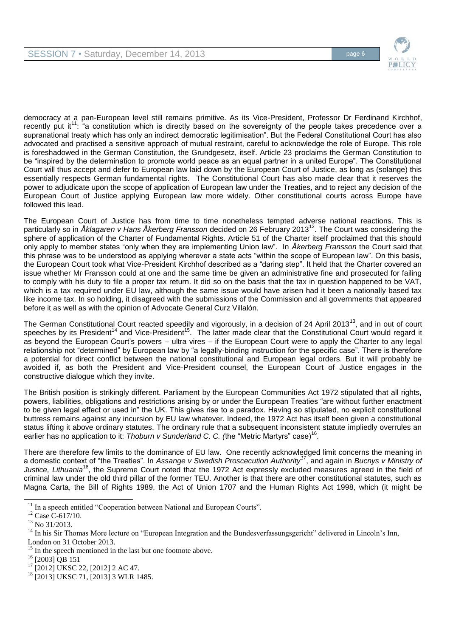

democracy at a pan-European level still remains primitive. As its Vice-President, Professor Dr Ferdinand Kirchhof, recently put it<sup>11</sup>: "a constitution which is directly based on the sovereignty of the people takes precedence over a supranational treaty which has only an indirect democratic legitimisation". But the Federal Constitutional Court has also advocated and practised a sensitive approach of mutual restraint, careful to acknowledge the role of Europe. This role is foreshadowed in the German Constitution, the Grundgesetz, itself. Article 23 proclaims the German Constitution to be "inspired by the determination to promote world peace as an equal partner in a united Europe". The Constitutional Court will thus accept and defer to European law laid down by the European Court of Justice, as long as (solange) this essentially respects German fundamental rights. The Constitutional Court has also made clear that it reserves the power to adjudicate upon the scope of application of European law under the Treaties, and to reject any decision of the European Court of Justice applying European law more widely. Other constitutional courts across Europe have followed this lead.

The European Court of Justice has from time to time nonetheless tempted adverse national reactions. This is particularly so in *Åklagaren v Hans Åkerberg Fransson* decided on 26 February 2013<sup>12</sup>. The Court was considering the sphere of application of the Charter of Fundamental Rights. Article 51 of the Charter itself proclaimed that this should only apply to member states "only when they are implementing Union law". In *Åkerberg Fransson* the Court said that this phrase was to be understood as applying wherever a state acts "within the scope of European law". On this basis, the European Court took what Vice-President Kirchhof described as a "daring step". It held that the Charter covered an issue whether Mr Fransson could at one and the same time be given an administrative fine and prosecuted for failing to comply with his duty to file a proper tax return. It did so on the basis that the tax in question happened to be VAT, which is a tax required under EU law, although the same issue would have arisen had it been a nationally based tax like income tax. In so holding, it disagreed with the submissions of the Commission and all governments that appeared before it as well as with the opinion of Advocate General Curz Villalón.

The German Constitutional Court reacted speedily and vigorously, in a decision of 24 April 2013<sup>13</sup>, and in out of court speeches by its President<sup>14</sup> and Vice-President<sup>15</sup>. The latter made clear that the Constitutional Court would regard it as beyond the European Court's powers – ultra vires – if the European Court were to apply the Charter to any legal relationship not "determined" by European law by "a legally-binding instruction for the specific case". There is therefore a potential for direct conflict between the national constitutional and European legal orders. But it will probably be avoided if, as both the President and Vice-President counsel, the European Court of Justice engages in the constructive dialogue which they invite.

The British position is strikingly different. Parliament by the European Communities Act 1972 stipulated that all rights, powers, liabilities, obligations and restrictions arising by or under the European Treaties "are without further enactment to be given legal effect or used in" the UK. This gives rise to a paradox. Having so stipulated, no explicit constitutional buttress remains against any incursion by EU law whatever. Indeed, the 1972 Act has itself been given a constitutional status lifting it above ordinary statutes. The ordinary rule that a subsequent inconsistent statute impliedly overrules an earlier has no application to it: Thoburn v Sunderland C. C. (the "Metric Martyrs" case)<sup>16</sup>.

There are therefore few limits to the dominance of EU law. One recently acknowledged limit concerns the meaning in a domestic context of "the Treaties". In *Assange v Swedish Proscecution Authority<sup>17</sup>*, and again in *Bucnys v Ministry of Justice, Lithuania*<sup>18</sup>, the Supreme Court noted that the 1972 Act expressly excluded measures agreed in the field of criminal law under the old third pillar of the former TEU. Another is that there are other constitutional statutes, such as Magna Carta, the Bill of Rights 1989, the Act of Union 1707 and the Human Rights Act 1998, which (it might be

 $\overline{a}$ <sup>11</sup> In a speech entitled "Cooperation between National and European Courts".

<sup>&</sup>lt;sup>12</sup> Case C-617/10.

 $^{13}$  No 31/2013.

<sup>&</sup>lt;sup>14</sup> In his Sir Thomas More lecture on "European Integration and the Bundesverfassungsgericht" delivered in Lincoln's Inn,

London on 31 October 2013.

<sup>&</sup>lt;sup>15</sup> In the speech mentioned in the last but one footnote above.

 $^{16}$  [2003] QB 151

<sup>&</sup>lt;sup>17</sup> [2012] UKSC 22, [2012] 2 AC 47.

<sup>&</sup>lt;sup>18</sup> [2013] UKSC 71, [2013] 3 WLR 1485.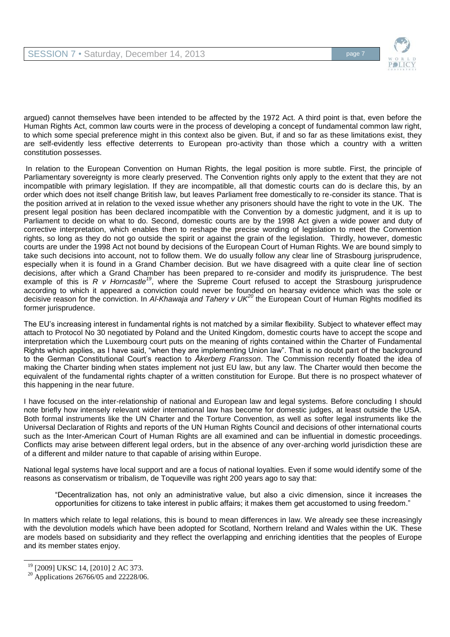

argued) cannot themselves have been intended to be affected by the 1972 Act. A third point is that, even before the Human Rights Act, common law courts were in the process of developing a concept of fundamental common law right, to which some special preference might in this context also be given. But, if and so far as these limitations exist, they are self-evidently less effective deterrents to European pro-activity than those which a country with a written constitution possesses.

In relation to the European Convention on Human Rights, the legal position is more subtle. First, the principle of Parliamentary sovereignty is more clearly preserved. The Convention rights only apply to the extent that they are not incompatible with primary legislation. If they are incompatible, all that domestic courts can do is declare this, by an order which does not itself change British law, but leaves Parliament free domestically to re-consider its stance. That is the position arrived at in relation to the vexed issue whether any prisoners should have the right to vote in the UK. The present legal position has been declared incompatible with the Convention by a domestic judgment, and it is up to Parliament to decide on what to do. Second, domestic courts are by the 1998 Act given a wide power and duty of corrective interpretation, which enables then to reshape the precise wording of legislation to meet the Convention rights, so long as they do not go outside the spirit or against the grain of the legislation. Thirdly, however, domestic courts are under the 1998 Act not bound by decisions of the European Court of Human Rights. We are bound simply to take such decisions into account, not to follow them. We do usually follow any clear line of Strasbourg jurisprudence, especially when it is found in a Grand Chamber decision. But we have disagreed with a quite clear line of section decisions, after which a Grand Chamber has been prepared to re-consider and modify its jurisprudence. The best example of this is *R v Horncastle<sup>19</sup>*, where the Supreme Court refused to accept the Strasbourg jurisprudence according to which it appeared a conviction could never be founded on hearsay evidence which was the sole or decisive reason for the conviction. In *Al-Khawaja and Tahery v UK<sup>20</sup>* the European Court of Human Rights modified its former jurisprudence.

The EU's increasing interest in fundamental rights is not matched by a similar flexibility. Subject to whatever effect may attach to Protocol No 30 negotiated by Poland and the United Kingdom, domestic courts have to accept the scope and interpretation which the Luxembourg court puts on the meaning of rights contained within the Charter of Fundamental Rights which applies, as I have said, "when they are implementing Union law". That is no doubt part of the background to the German Constitutional Court's reaction to *Åkerberg Fransson*. The Commission recently floated the idea of making the Charter binding when states implement not just EU law, but any law. The Charter would then become the equivalent of the fundamental rights chapter of a written constitution for Europe. But there is no prospect whatever of this happening in the near future.

I have focused on the inter-relationship of national and European law and legal systems. Before concluding I should note briefly how intensely relevant wider international law has become for domestic judges, at least outside the USA. Both formal instruments like the UN Charter and the Torture Convention, as well as softer legal instruments like the Universal Declaration of Rights and reports of the UN Human Rights Council and decisions of other international courts such as the Inter-American Court of Human Rights are all examined and can be influential in domestic proceedings. Conflicts may arise between different legal orders, but in the absence of any over-arching world jurisdiction these are of a different and milder nature to that capable of arising within Europe.

National legal systems have local support and are a focus of national loyalties. Even if some would identify some of the reasons as conservatism or tribalism, de Toqueville was right 200 years ago to say that:

"Decentralization has, not only an administrative value, but also a civic dimension, since it increases the opportunities for citizens to take interest in public affairs; it makes them get accustomed to using freedom."

In matters which relate to legal relations, this is bound to mean differences in law. We already see these increasingly with the devolution models which have been adopted for Scotland, Northern Ireland and Wales within the UK. These are models based on subsidiarity and they reflect the overlapping and enriching identities that the peoples of Europe and its member states enjoy.

l

<sup>19</sup> [2009] UKSC 14, [2010] 2 AC 373.

<sup>&</sup>lt;sup>20</sup> Applications 26766/05 and 22228/06.